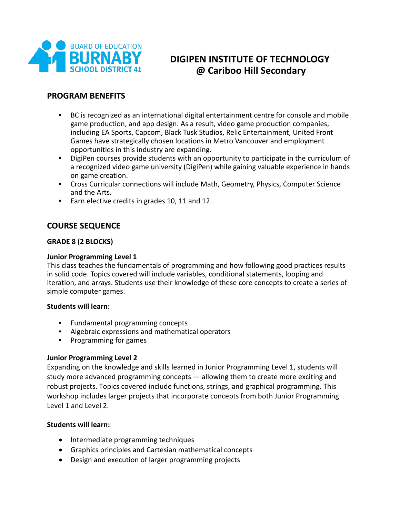

# **DIGIPEN INSTITUTE OF TECHNOLOGY @ Cariboo Hill Secondary**

# **PROGRAM BENEFITS**

- BC is recognized as an international digital entertainment centre for console and mobile game production, and app design. As a result, video game production companies, including EA Sports, Capcom, Black Tusk Studios, Relic Entertainment, United Front Games have strategically chosen locations in Metro Vancouver and employment opportunities in this industry are expanding.
- DigiPen courses provide students with an opportunity to participate in the curriculum of a recognized video game university (DigiPen) while gaining valuable experience in hands on game creation.
- Cross Curricular connections will include Math, Geometry, Physics, Computer Science and the Arts.
- Earn elective credits in grades 10, 11 and 12.

# **COURSE SEQUENCE**

# **GRADE 8 (2 BLOCKS)**

# **Junior Programming Level 1**

This class teaches the fundamentals of programming and how following good practices results in solid code. Topics covered will include variables, conditional statements, looping and iteration, and arrays. Students use their knowledge of these core concepts to create a series of simple computer games.

# **Students will learn:**

- Fundamental programming concepts
- Algebraic expressions and mathematical operators
- Programming for games

# **Junior Programming Level 2**

Expanding on the knowledge and skills learned in Junior Programming Level 1, students will study more advanced programming concepts — allowing them to create more exciting and robust projects. Topics covered include functions, strings, and graphical programming. This workshop includes larger projects that incorporate concepts from both Junior Programming Level 1 and Level 2.

# **Students will learn:**

- Intermediate programming techniques
- Graphics principles and Cartesian mathematical concepts
- Design and execution of larger programming projects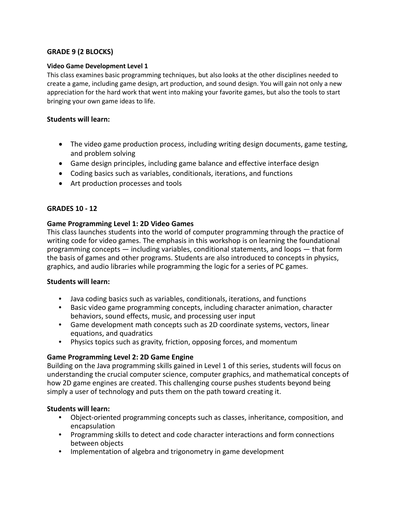# **GRADE 9 (2 BLOCKS)**

#### **Video Game Development Level 1**

This class examines basic programming techniques, but also looks at the other disciplines needed to create a game, including game design, art production, and sound design. You will gain not only a new appreciation for the hard work that went into making your favorite games, but also the tools to start bringing your own game ideas to life.

### **Students will learn:**

- The video game production process, including writing design documents, game testing, and problem solving
- Game design principles, including game balance and effective interface design
- Coding basics such as variables, conditionals, iterations, and functions
- Art production processes and tools

# **GRADES 10 - 12**

#### **Game Programming Level 1: 2D Video Games**

This class launches students into the world of computer programming through the practice of writing code for video games. The emphasis in this workshop is on learning the foundational programming concepts — including variables, conditional statements, and loops — that form the basis of games and other programs. Students are also introduced to concepts in physics, graphics, and audio libraries while programming the logic for a series of PC games.

#### **Students will learn:**

- Java coding basics such as variables, conditionals, iterations, and functions
- Basic video game programming concepts, including character animation, character behaviors, sound effects, music, and processing user input
- Game development math concepts such as 2D coordinate systems, vectors, linear equations, and quadratics
- Physics topics such as gravity, friction, opposing forces, and momentum

# **Game Programming Level 2: 2D Game Engine**

Building on the Java programming skills gained in Level 1 of this series, students will focus on understanding the crucial computer science, computer graphics, and mathematical concepts of how 2D game engines are created. This challenging course pushes students beyond being simply a user of technology and puts them on the path toward creating it.

# **Students will learn:**

- Object-oriented programming concepts such as classes, inheritance, composition, and encapsulation
- Programming skills to detect and code character interactions and form connections between objects
- Implementation of algebra and trigonometry in game development